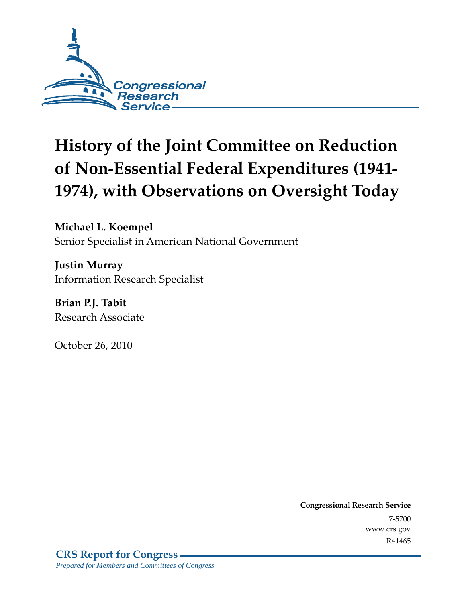

# **History of the Joint Committee on Reduction of Non-Essential Federal Expenditures (1941- 1974), with Observations on Oversight Today**

**Michael L. Koempel**  Senior Specialist in American National Government

**Justin Murray**  Information Research Specialist

**Brian P.J. Tabit**  Research Associate

October 26, 2010

**Congressional Research Service** 7-5700 www.crs.gov R41465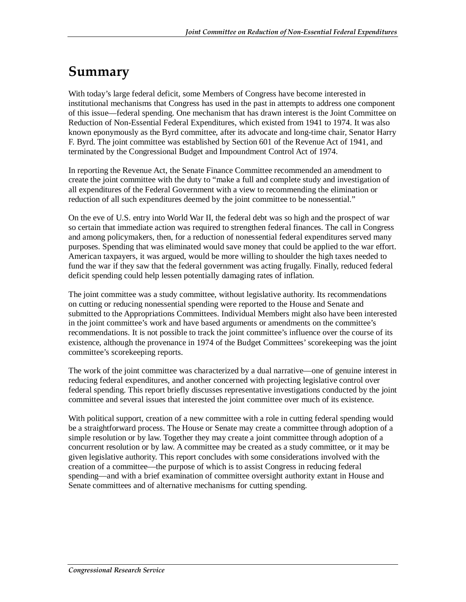# **Summary**

With today's large federal deficit, some Members of Congress have become interested in institutional mechanisms that Congress has used in the past in attempts to address one component of this issue—federal spending. One mechanism that has drawn interest is the Joint Committee on Reduction of Non-Essential Federal Expenditures, which existed from 1941 to 1974. It was also known eponymously as the Byrd committee, after its advocate and long-time chair, Senator Harry F. Byrd. The joint committee was established by Section 601 of the Revenue Act of 1941, and terminated by the Congressional Budget and Impoundment Control Act of 1974.

In reporting the Revenue Act, the Senate Finance Committee recommended an amendment to create the joint committee with the duty to "make a full and complete study and investigation of all expenditures of the Federal Government with a view to recommending the elimination or reduction of all such expenditures deemed by the joint committee to be nonessential."

On the eve of U.S. entry into World War II, the federal debt was so high and the prospect of war so certain that immediate action was required to strengthen federal finances. The call in Congress and among policymakers, then, for a reduction of nonessential federal expenditures served many purposes. Spending that was eliminated would save money that could be applied to the war effort. American taxpayers, it was argued, would be more willing to shoulder the high taxes needed to fund the war if they saw that the federal government was acting frugally. Finally, reduced federal deficit spending could help lessen potentially damaging rates of inflation.

The joint committee was a study committee, without legislative authority. Its recommendations on cutting or reducing nonessential spending were reported to the House and Senate and submitted to the Appropriations Committees. Individual Members might also have been interested in the joint committee's work and have based arguments or amendments on the committee's recommendations. It is not possible to track the joint committee's influence over the course of its existence, although the provenance in 1974 of the Budget Committees' scorekeeping was the joint committee's scorekeeping reports.

The work of the joint committee was characterized by a dual narrative—one of genuine interest in reducing federal expenditures, and another concerned with projecting legislative control over federal spending. This report briefly discusses representative investigations conducted by the joint committee and several issues that interested the joint committee over much of its existence.

With political support, creation of a new committee with a role in cutting federal spending would be a straightforward process. The House or Senate may create a committee through adoption of a simple resolution or by law. Together they may create a joint committee through adoption of a concurrent resolution or by law. A committee may be created as a study committee, or it may be given legislative authority. This report concludes with some considerations involved with the creation of a committee—the purpose of which is to assist Congress in reducing federal spending—and with a brief examination of committee oversight authority extant in House and Senate committees and of alternative mechanisms for cutting spending.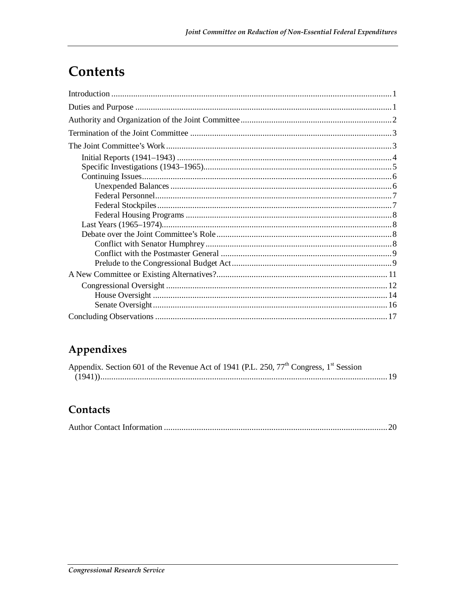### **Contents**

### Appendixes

| Appendix. Section 601 of the Revenue Act of 1941 (P.L. 250, 77 <sup>th</sup> Congress, 1 <sup>st</sup> Session |  |
|----------------------------------------------------------------------------------------------------------------|--|
|                                                                                                                |  |

#### Contacts

|--|--|--|--|--|--|--|--|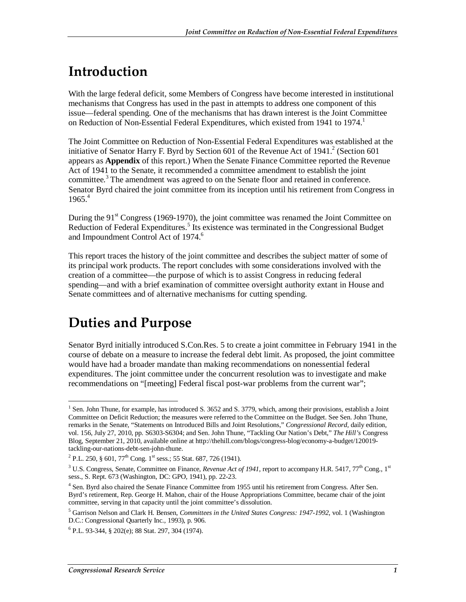# **Introduction**

With the large federal deficit, some Members of Congress have become interested in institutional mechanisms that Congress has used in the past in attempts to address one component of this issue—federal spending. One of the mechanisms that has drawn interest is the Joint Committee on Reduction of Non-Essential Federal Expenditures, which existed from 1941 to 1974.

The Joint Committee on Reduction of Non-Essential Federal Expenditures was established at the initiative of Senator Harry F. Byrd by Section 601 of the Revenue Act of  $1941$ .<sup>2</sup> (Section 601 appears as **Appendix** of this report.) When the Senate Finance Committee reported the Revenue Act of 1941 to the Senate, it recommended a committee amendment to establish the joint committee.<sup>3</sup> The amendment was agreed to on the Senate floor and retained in conference. Senator Byrd chaired the joint committee from its inception until his retirement from Congress in  $1965<sup>4</sup>$ 

During the  $91<sup>st</sup>$  Congress (1969-1970), the joint committee was renamed the Joint Committee on Reduction of Federal Expenditures.<sup>5</sup> Its existence was terminated in the Congressional Budget and Impoundment Control Act of 1974.<sup>6</sup>

This report traces the history of the joint committee and describes the subject matter of some of its principal work products. The report concludes with some considerations involved with the creation of a committee—the purpose of which is to assist Congress in reducing federal spending—and with a brief examination of committee oversight authority extant in House and Senate committees and of alternative mechanisms for cutting spending.

# **Duties and Purpose**

Senator Byrd initially introduced S.Con.Res. 5 to create a joint committee in February 1941 in the course of debate on a measure to increase the federal debt limit. As proposed, the joint committee would have had a broader mandate than making recommendations on nonessential federal expenditures. The joint committee under the concurrent resolution was to investigate and make recommendations on "[meeting] Federal fiscal post-war problems from the current war";

<sup>&</sup>lt;u>.</u> <sup>1</sup> Sen. John Thune, for example, has introduced S. 3652 and S. 3779, which, among their provisions, establish a Joint Committee on Deficit Reduction; the measures were referred to the Committee on the Budget. See Sen. John Thune, remarks in the Senate, "Statements on Introduced Bills and Joint Resolutions," *Congressional Record,* daily edition, vol. 156, July 27, 2010, pp. S6303-S6304; and Sen. John Thune, "Tackling Our Nation's Debt," *The Hill's* Congress Blog, September 21, 2010, available online at http://thehill.com/blogs/congress-blog/economy-a-budget/120019 tackling-our-nations-debt-sen-john-thune.

<sup>&</sup>lt;sup>2</sup> P.L. 250, § 601, 77<sup>th</sup> Cong. 1<sup>st</sup> sess.; 55 Stat. 687, 726 (1941).

 $3^3$  U.S. Congress, Senate, Committee on Finance, *Revenue Act of 1941*, report to accompany H.R. 5417, 77<sup>th</sup> Cong., 1<sup>st</sup> sess., S. Rept. 673 (Washington, DC: GPO, 1941), pp. 22-23.

<sup>&</sup>lt;sup>4</sup> Sen. Byrd also chaired the Senate Finance Committee from 1955 until his retirement from Congress. After Sen. Byrd's retirement, Rep. George H. Mahon, chair of the House Appropriations Committee, became chair of the joint committee, serving in that capacity until the joint committee's dissolution.

<sup>5</sup> Garrison Nelson and Clark H. Bensen, *Committees in the United States Congress: 1947-1992*, vol. 1 (Washington D.C.: Congressional Quarterly Inc., 1993), p. 906.

<sup>6</sup> P.L. 93-344, § 202(e); 88 Stat. 297, 304 (1974).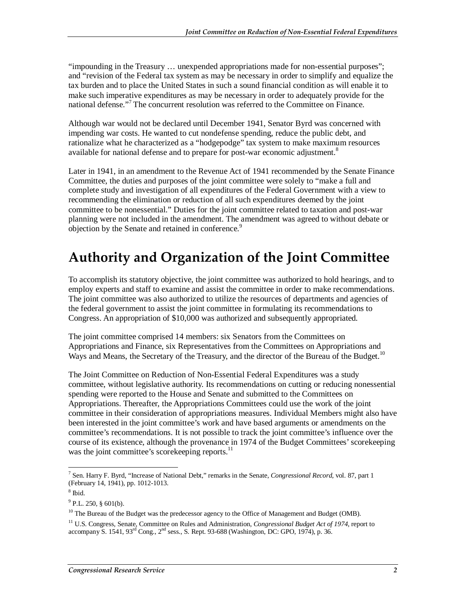"impounding in the Treasury … unexpended appropriations made for non-essential purposes"; and "revision of the Federal tax system as may be necessary in order to simplify and equalize the tax burden and to place the United States in such a sound financial condition as will enable it to make such imperative expenditures as may be necessary in order to adequately provide for the national defense."<sup>7</sup> The concurrent resolution was referred to the Committee on Finance.

Although war would not be declared until December 1941, Senator Byrd was concerned with impending war costs. He wanted to cut nondefense spending, reduce the public debt, and rationalize what he characterized as a "hodgepodge" tax system to make maximum resources available for national defense and to prepare for post-war economic adjustment.<sup>8</sup>

Later in 1941, in an amendment to the Revenue Act of 1941 recommended by the Senate Finance Committee, the duties and purposes of the joint committee were solely to "make a full and complete study and investigation of all expenditures of the Federal Government with a view to recommending the elimination or reduction of all such expenditures deemed by the joint committee to be nonessential." Duties for the joint committee related to taxation and post-war planning were not included in the amendment. The amendment was agreed to without debate or objection by the Senate and retained in conference.<sup>9</sup>

# **Authority and Organization of the Joint Committee**

To accomplish its statutory objective, the joint committee was authorized to hold hearings, and to employ experts and staff to examine and assist the committee in order to make recommendations. The joint committee was also authorized to utilize the resources of departments and agencies of the federal government to assist the joint committee in formulating its recommendations to Congress. An appropriation of \$10,000 was authorized and subsequently appropriated.

The joint committee comprised 14 members: six Senators from the Committees on Appropriations and Finance, six Representatives from the Committees on Appropriations and Ways and Means, the Secretary of the Treasury, and the director of the Bureau of the Budget.<sup>10</sup>

The Joint Committee on Reduction of Non-Essential Federal Expenditures was a study committee, without legislative authority. Its recommendations on cutting or reducing nonessential spending were reported to the House and Senate and submitted to the Committees on Appropriations. Thereafter, the Appropriations Committees could use the work of the joint committee in their consideration of appropriations measures. Individual Members might also have been interested in the joint committee's work and have based arguments or amendments on the committee's recommendations. It is not possible to track the joint committee's influence over the course of its existence, although the provenance in 1974 of the Budget Committees' scorekeeping was the joint committee's scorekeeping reports.<sup>11</sup>

 7 Sen. Harry F. Byrd, "Increase of National Debt," remarks in the Senate, *Congressional Record*, vol. 87, part 1 (February 14, 1941), pp. 1012-1013.

<sup>8</sup> Ibid.

 $^{9}$  P.L. 250, § 601(b).

 $10$  The Bureau of the Budget was the predecessor agency to the Office of Management and Budget (OMB).

<sup>11</sup> U.S. Congress, Senate, Committee on Rules and Administration, *Congressional Budget Act of 1974*, report to accompany S. 1541,  $93^{\text{rd}}$  Cong.,  $2^{\text{nd}}$  sess., S. Rept. 93-688 (Washington, DC: GPO, 1974), p. 36.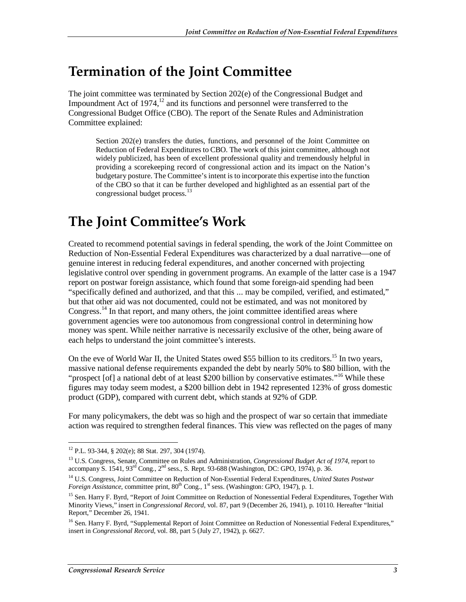## **Termination of the Joint Committee**

The joint committee was terminated by Section 202(e) of the Congressional Budget and Impoundment Act of  $1974$ ,<sup>12</sup> and its functions and personnel were transferred to the Congressional Budget Office (CBO). The report of the Senate Rules and Administration Committee explained:

Section 202(e) transfers the duties, functions, and personnel of the Joint Committee on Reduction of Federal Expenditures to CBO. The work of this joint committee, although not widely publicized, has been of excellent professional quality and tremendously helpful in providing a scorekeeping record of congressional action and its impact on the Nation's budgetary posture. The Committee's intent is to incorporate this expertise into the function of the CBO so that it can be further developed and highlighted as an essential part of the congressional budget process.<sup>13</sup>

# **The Joint Committee's Work**

Created to recommend potential savings in federal spending, the work of the Joint Committee on Reduction of Non-Essential Federal Expenditures was characterized by a dual narrative—one of genuine interest in reducing federal expenditures, and another concerned with projecting legislative control over spending in government programs. An example of the latter case is a 1947 report on postwar foreign assistance, which found that some foreign-aid spending had been "specifically defined and authorized, and that this ... may be compiled, verified, and estimated," but that other aid was not documented, could not be estimated, and was not monitored by Congress.<sup>14</sup> In that report, and many others, the joint committee identified areas where government agencies were too autonomous from congressional control in determining how money was spent. While neither narrative is necessarily exclusive of the other, being aware of each helps to understand the joint committee's interests.

On the eve of World War II, the United States owed \$55 billion to its creditors.<sup>15</sup> In two years, massive national defense requirements expanded the debt by nearly 50% to \$80 billion, with the "prospect [of] a national debt of at least \$200 billion by conservative estimates."<sup>16</sup> While these figures may today seem modest, a \$200 billion debt in 1942 represented 123% of gross domestic product (GDP), compared with current debt, which stands at 92% of GDP.

For many policymakers, the debt was so high and the prospect of war so certain that immediate action was required to strengthen federal finances. This view was reflected on the pages of many

<sup>&</sup>lt;u>.</u> 12 P.L. 93-344, § 202(e); 88 Stat. 297, 304 (1974).

<sup>13</sup> U.S. Congress, Senate, Committee on Rules and Administration, *Congressional Budget Act of 1974,* report to accompany S. 1541, 93rd Cong., 2nd sess., S. Rept. 93-688 (Washington, DC: GPO, 1974), p. 36.

<sup>14</sup> U.S. Congress, Joint Committee on Reduction of Non-Essential Federal Expenditures, *United States Postwar Foreign Assistance*, committee print,  $80^{th}$  Cong., 1<sup>st</sup> sess. (Washington: GPO, 1947), p. 1.

<sup>&</sup>lt;sup>15</sup> Sen. Harry F. Byrd, "Report of Joint Committee on Reduction of Nonessential Federal Expenditures, Together With Minority Views," insert in *Congressional Record*, vol. 87, part 9 (December 26, 1941), p. 10110. Hereafter "Initial Report," December 26, 1941.

<sup>&</sup>lt;sup>16</sup> Sen. Harry F. Byrd, "Supplemental Report of Joint Committee on Reduction of Nonessential Federal Expenditures," insert in *Congressional Record*, vol. 88, part 5 (July 27, 1942), p. 6627.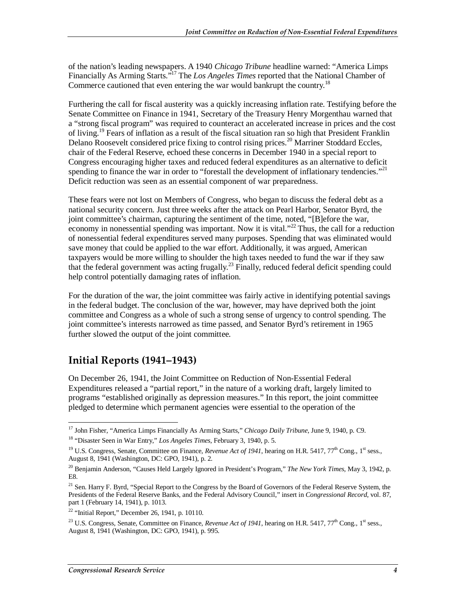of the nation's leading newspapers. A 1940 *Chicago Tribune* headline warned: "America Limps Financially As Arming Starts."17 The *Los Angeles Times* reported that the National Chamber of Commerce cautioned that even entering the war would bankrupt the country.<sup>18</sup>

Furthering the call for fiscal austerity was a quickly increasing inflation rate. Testifying before the Senate Committee on Finance in 1941, Secretary of the Treasury Henry Morgenthau warned that a "strong fiscal program" was required to counteract an accelerated increase in prices and the cost of living.<sup>19</sup> Fears of inflation as a result of the fiscal situation ran so high that President Franklin Delano Roosevelt considered price fixing to control rising prices.<sup>20</sup> Marriner Stoddard Eccles, chair of the Federal Reserve, echoed these concerns in December 1940 in a special report to Congress encouraging higher taxes and reduced federal expenditures as an alternative to deficit spending to finance the war in order to "forestall the development of inflationary tendencies."<sup>21</sup> Deficit reduction was seen as an essential component of war preparedness.

These fears were not lost on Members of Congress, who began to discuss the federal debt as a national security concern. Just three weeks after the attack on Pearl Harbor, Senator Byrd, the joint committee's chairman, capturing the sentiment of the time, noted, "[B]efore the war, economy in nonessential spending was important. Now it is vital. $2^{22}$  Thus, the call for a reduction of nonessential federal expenditures served many purposes. Spending that was eliminated would save money that could be applied to the war effort. Additionally, it was argued, American taxpayers would be more willing to shoulder the high taxes needed to fund the war if they saw that the federal government was acting frugally.<sup>23</sup> Finally, reduced federal deficit spending could help control potentially damaging rates of inflation.

For the duration of the war, the joint committee was fairly active in identifying potential savings in the federal budget. The conclusion of the war, however, may have deprived both the joint committee and Congress as a whole of such a strong sense of urgency to control spending. The joint committee's interests narrowed as time passed, and Senator Byrd's retirement in 1965 further slowed the output of the joint committee.

### **Initial Reports (1941–1943)**

On December 26, 1941, the Joint Committee on Reduction of Non-Essential Federal Expenditures released a "partial report," in the nature of a working draft, largely limited to programs "established originally as depression measures." In this report, the joint committee pledged to determine which permanent agencies were essential to the operation of the

<sup>&</sup>lt;u>.</u> 17 John Fisher, "America Limps Financially As Arming Starts," *Chicago Daily Tribune*, June 9, 1940, p. C9. 18 "Disaster Seen in War Entry," *Los Angeles Times*, February 3, 1940, p. 5.

<sup>&</sup>lt;sup>19</sup> U.S. Congress, Senate, Committee on Finance, *Revenue Act of 1941*, hearing on H.R. 5417, 77<sup>th</sup> Cong., 1<sup>st</sup> sess., August 8, 1941 (Washington, DC: GPO, 1941), p. 2.

<sup>20</sup> Benjamin Anderson, "Causes Held Largely Ignored in President's Program," *The New York Times*, May 3, 1942, p. E8.

<sup>&</sup>lt;sup>21</sup> Sen. Harry F. Byrd, "Special Report to the Congress by the Board of Governors of the Federal Reserve System, the Presidents of the Federal Reserve Banks, and the Federal Advisory Council," insert in *Congressional Record*, vol. 87, part 1 (February 14, 1941), p. 1013.

 $22$  "Initial Report," December 26, 1941, p. 10110.

<sup>&</sup>lt;sup>23</sup> U.S. Congress, Senate, Committee on Finance, *Revenue Act of 1941*, hearing on H.R. 5417, 77<sup>th</sup> Cong., 1<sup>st</sup> sess., August 8, 1941 (Washington, DC: GPO, 1941), p. 995.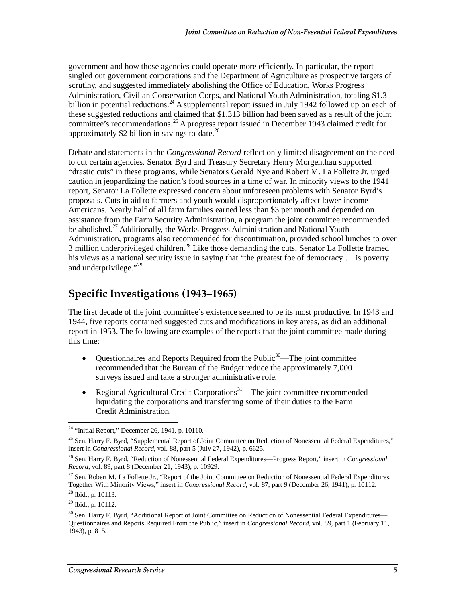government and how those agencies could operate more efficiently. In particular, the report singled out government corporations and the Department of Agriculture as prospective targets of scrutiny, and suggested immediately abolishing the Office of Education, Works Progress Administration, Civilian Conservation Corps, and National Youth Administration, totaling \$1.3 billion in potential reductions.<sup>24</sup> A supplemental report issued in July 1942 followed up on each of these suggested reductions and claimed that \$1.313 billion had been saved as a result of the joint committee's recommendations.<sup>25</sup> A progress report issued in December 1943 claimed credit for approximately \$2 billion in savings to-date.<sup>26</sup>

Debate and statements in the *Congressional Record* reflect only limited disagreement on the need to cut certain agencies. Senator Byrd and Treasury Secretary Henry Morgenthau supported "drastic cuts" in these programs, while Senators Gerald Nye and Robert M. La Follette Jr. urged caution in jeopardizing the nation's food sources in a time of war. In minority views to the 1941 report, Senator La Follette expressed concern about unforeseen problems with Senator Byrd's proposals. Cuts in aid to farmers and youth would disproportionately affect lower-income Americans. Nearly half of all farm families earned less than \$3 per month and depended on assistance from the Farm Security Administration, a program the joint committee recommended be abolished.<sup>27</sup> Additionally, the Works Progress Administration and National Youth Administration, programs also recommended for discontinuation, provided school lunches to over 3 million underprivileged children.<sup>28</sup> Like those demanding the cuts, Senator La Follette framed his views as a national security issue in saying that "the greatest foe of democracy … is poverty and underprivilege."<sup>29</sup>

### **Specific Investigations (1943–1965)**

The first decade of the joint committee's existence seemed to be its most productive. In 1943 and 1944, five reports contained suggested cuts and modifications in key areas, as did an additional report in 1953. The following are examples of the reports that the joint committee made during this time:

- Questionnaires and Reports Required from the Public<sup>30</sup>—The joint committee recommended that the Bureau of the Budget reduce the approximately 7,000 surveys issued and take a stronger administrative role.
- Regional Agricultural Credit Corporations<sup>31</sup>—The joint committee recommended liquidating the corporations and transferring some of their duties to the Farm Credit Administration.

<sup>&</sup>lt;u>.</u> <sup>24</sup> "Initial Report," December 26, 1941, p. 10110.

<sup>&</sup>lt;sup>25</sup> Sen. Harry F. Byrd, "Supplemental Report of Joint Committee on Reduction of Nonessential Federal Expenditures," insert in *Congressional Record*, vol. 88, part 5 (July 27, 1942), p. 6625.

<sup>26</sup> Sen. Harry F. Byrd, "Reduction of Nonessential Federal Expenditures—Progress Report," insert in *Congressional Record*, vol. 89, part 8 (December 21, 1943), p. 10929.

<sup>&</sup>lt;sup>27</sup> Sen. Robert M. La Follette Jr., "Report of the Joint Committee on Reduction of Nonessential Federal Expenditures, Together With Minority Views," insert in *Congressional Record*, vol. 87, part 9 (December 26, 1941), p. 10112. 28 Ibid., p. 10113.

 $29$  Ibid., p. 10112.

 $30$  Sen. Harry F. Byrd, "Additional Report of Joint Committee on Reduction of Nonessential Federal Expenditures— Questionnaires and Reports Required From the Public," insert in *Congressional Record*, vol. 89, part 1 (February 11, 1943), p. 815.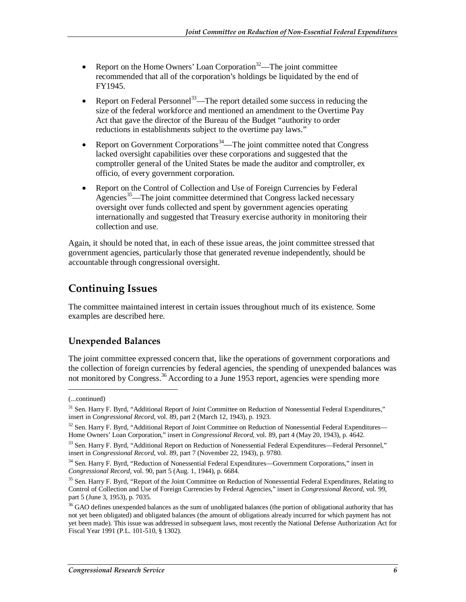- Report on the Home Owners' Loan Corporation<sup>32</sup>—The joint committee recommended that all of the corporation's holdings be liquidated by the end of FY1945.
- Report on Federal Personnel<sup>33</sup>—The report detailed some success in reducing the size of the federal workforce and mentioned an amendment to the Overtime Pay Act that gave the director of the Bureau of the Budget "authority to order reductions in establishments subject to the overtime pay laws."
- Report on Government Corporations<sup>34</sup>—The joint committee noted that Congress lacked oversight capabilities over these corporations and suggested that the comptroller general of the United States be made the auditor and comptroller, ex officio, of every government corporation.
- Report on the Control of Collection and Use of Foreign Currencies by Federal Agencies<sup>35</sup>—The joint committee determined that Congress lacked necessary oversight over funds collected and spent by government agencies operating internationally and suggested that Treasury exercise authority in monitoring their collection and use.

Again, it should be noted that, in each of these issue areas, the joint committee stressed that government agencies, particularly those that generated revenue independently, should be accountable through congressional oversight.

### **Continuing Issues**

The committee maintained interest in certain issues throughout much of its existence. Some examples are described here.

#### **Unexpended Balances**

The joint committee expressed concern that, like the operations of government corporations and the collection of foreign currencies by federal agencies, the spending of unexpended balances was not monitored by Congress.<sup>36</sup> According to a June 1953 report, agencies were spending more

1

<sup>(...</sup>continued)

<sup>&</sup>lt;sup>31</sup> Sen. Harry F. Byrd, "Additional Report of Joint Committee on Reduction of Nonessential Federal Expenditures," insert in *Congressional Record*, vol. 89, part 2 (March 12, 1943), p. 1923.

<sup>&</sup>lt;sup>32</sup> Sen. Harry F. Byrd, "Additional Report of Joint Committee on Reduction of Nonessential Federal Expenditures— Home Owners' Loan Corporation," insert in *Congressional Record*, vol. 89, part 4 (May 20, 1943), p. 4642.

<sup>&</sup>lt;sup>33</sup> Sen. Harry F. Byrd, "Additional Report on Reduction of Nonessential Federal Expenditures—Federal Personnel," insert in *Congressional Record*, vol. 89, part 7 (November 22, 1943), p. 9780.

<sup>34</sup> Sen. Harry F. Byrd, "Reduction of Nonessential Federal Expenditures—Government Corporations," insert in *Congressional Record*, vol. 90, part 5 (Aug. 1, 1944), p. 6684.

<sup>&</sup>lt;sup>35</sup> Sen. Harry F. Byrd, "Report of the Joint Committee on Reduction of Nonessential Federal Expenditures, Relating to Control of Collection and Use of Foreign Currencies by Federal Agencies," insert in *Congressional Record*, vol. 99, part 5 (June 3, 1953), p. 7035.

 $36$  GAO defines unexpended balances as the sum of unobligated balances (the portion of obligational authority that has not yet been obligated) and obligated balances (the amount of obligations already incurred for which payment has not yet been made). This issue was addressed in subsequent laws, most recently the National Defense Authorization Act for Fiscal Year 1991 (P.L. 101-510, § 1302).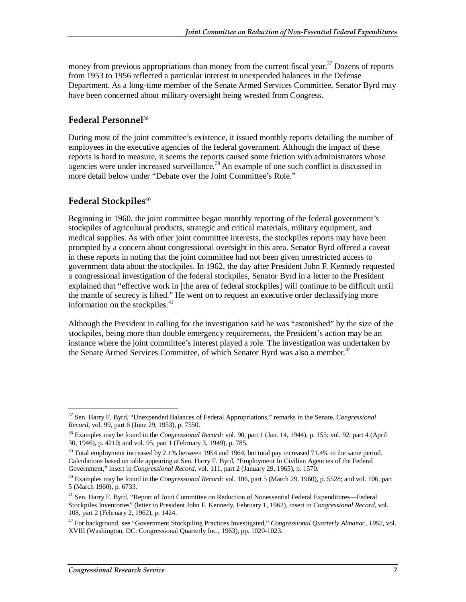money from previous appropriations than money from the current fiscal year.<sup>37</sup> Dozens of reports from 1953 to 1956 reflected a particular interest in unexpended balances in the Defense Department. As a long-time member of the Senate Armed Services Committee, Senator Byrd may have been concerned about military oversight being wrested from Congress.

#### **Federal Personnel**<sup>38</sup>

During most of the joint committee's existence, it issued monthly reports detailing the number of employees in the executive agencies of the federal government. Although the impact of these reports is hard to measure, it seems the reports caused some friction with administrators whose agencies were under increased surveillance.<sup>39</sup> An example of one such conflict is discussed in more detail below under "Debate over the Joint Committee's Role."

#### **Federal Stockpiles**<sup>40</sup>

Beginning in 1960, the joint committee began monthly reporting of the federal government's stockpiles of agricultural products, strategic and critical materials, military equipment, and medical supplies. As with other joint committee interests, the stockpiles reports may have been prompted by a concern about congressional oversight in this area. Senator Byrd offered a caveat in these reports in noting that the joint committee had not been given unrestricted access to government data about the stockpiles. In 1962, the day after President John F. Kennedy requested a congressional investigation of the federal stockpiles, Senator Byrd in a letter to the President explained that "effective work in [the area of federal stockpiles] will continue to be difficult until the mantle of secrecy is lifted." He went on to request an executive order declassifying more information on the stockpiles.<sup>41</sup>

Although the President in calling for the investigation said he was "astonished" by the size of the stockpiles, being more than double emergency requirements, the President's action may be an instance where the joint committee's interest played a role. The investigation was undertaken by the Senate Armed Services Committee, of which Senator Byrd was also a member.<sup>42</sup>

<sup>-</sup>37 Sen. Harry F. Byrd, "Unexpended Balances of Federal Appropriations," remarks in the Senate, *Congressional Record*, vol. 99, part 6 (June 29, 1953), p. 7550.

<sup>38</sup> Examples may be found in the *Congressional Record:* vol. 90, part 1 (Jan. 14, 1944), p. 155; vol. 92, part 4 (April 30, 1946), p. 4210; and vol. 95, part 1 (February 3, 1949), p. 785.

 $39$  Total employment increased by 2.1% between 1954 and 1964, but total pay increased 71.4% in the same period. Calculations based on table appearing at Sen. Harry F. Byrd, "Employment In Civilian Agencies of the Federal Government," insert in *Congressional Record,* vol. 111, part 2 (January 29, 1965), p. 1570.

<sup>40</sup> Examples may be found in the *Congressional Record:* vol. 106, part 5 (March 29, 1960), p. 5528; and vol. 106, part 5 (March 1960), p. 6733.

<sup>41</sup> Sen. Harry F. Byrd, "Report of Joint Committee on Reduction of Nonessential Federal Expenditures—Federal Stockpiles Inventories" (letter to President John F. Kennedy, February 1, 1962), insert in *Congressional Record,* vol. 108, part 2 (February 2, 1962), p. 1424.

<sup>42</sup> For background, see "Government Stockpiling Practices Investigated," *Congressional Quarterly Almanac, 1962*, vol. XVIII (Washington, DC: Congressional Quarterly Inc., 1963), pp. 1020-1023.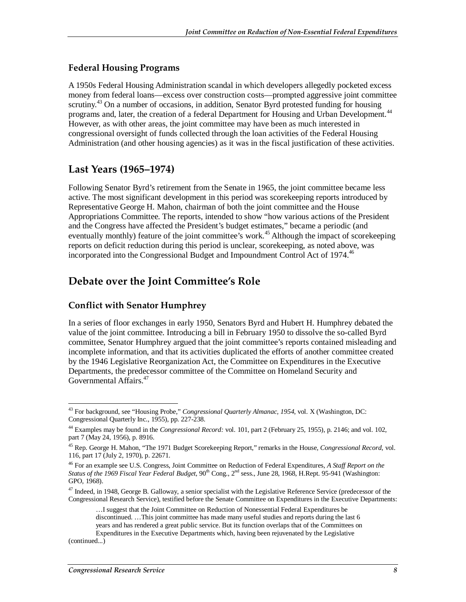#### **Federal Housing Programs**

A 1950s Federal Housing Administration scandal in which developers allegedly pocketed excess money from federal loans—excess over construction costs—prompted aggressive joint committee scrutiny.<sup>43</sup> On a number of occasions, in addition, Senator Byrd protested funding for housing programs and, later, the creation of a federal Department for Housing and Urban Development.<sup>44</sup> However, as with other areas, the joint committee may have been as much interested in congressional oversight of funds collected through the loan activities of the Federal Housing Administration (and other housing agencies) as it was in the fiscal justification of these activities.

#### **Last Years (1965–1974)**

Following Senator Byrd's retirement from the Senate in 1965, the joint committee became less active. The most significant development in this period was scorekeeping reports introduced by Representative George H. Mahon, chairman of both the joint committee and the House Appropriations Committee. The reports, intended to show "how various actions of the President and the Congress have affected the President's budget estimates," became a periodic (and eventually monthly) feature of the joint committee's work.<sup>45</sup> Although the impact of scorekeeping reports on deficit reduction during this period is unclear, scorekeeping, as noted above, was incorporated into the Congressional Budget and Impoundment Control Act of 1974.<sup>46</sup>

### **Debate over the Joint Committee's Role**

#### **Conflict with Senator Humphrey**

In a series of floor exchanges in early 1950, Senators Byrd and Hubert H. Humphrey debated the value of the joint committee. Introducing a bill in February 1950 to dissolve the so-called Byrd committee, Senator Humphrey argued that the joint committee's reports contained misleading and incomplete information, and that its activities duplicated the efforts of another committee created by the 1946 Legislative Reorganization Act, the Committee on Expenditures in the Executive Departments, the predecessor committee of the Committee on Homeland Security and Governmental Affairs.47

(continued...)

<sup>-</sup>43 For background, see "Housing Probe," *Congressional Quarterly Almanac, 1954*, vol. X (Washington, DC: Congressional Quarterly Inc., 1955), pp. 227-238.

<sup>44</sup> Examples may be found in the *Congressional Record:* vol. 101, part 2 (February 25, 1955), p. 2146; and vol. 102, part 7 (May 24, 1956), p. 8916.

<sup>45</sup> Rep. George H. Mahon, "The 1971 Budget Scorekeeping Report," remarks in the House, *Congressional Record*, vol. 116, part 17 (July 2, 1970), p. 22671.

<sup>46</sup> For an example see U.S. Congress, Joint Committee on Reduction of Federal Expenditures, *A Staff Report on the Status of the 1969 Fiscal Year Federal Budget*, 90<sup>th</sup> Cong., 2<sup>nd</sup> sess., June 28, 1968, H.Rept. 95-941 (Washington: GPO, 1968).

<sup>&</sup>lt;sup>47</sup> Indeed, in 1948, George B. Galloway, a senior specialist with the Legislative Reference Service (predecessor of the Congressional Research Service), testified before the Senate Committee on Expenditures in the Executive Departments:

<sup>…</sup>I suggest that the Joint Committee on Reduction of Nonessential Federal Expenditures be discontinued. …This joint committee has made many useful studies and reports during the last 6 years and has rendered a great public service. But its function overlaps that of the Committees on Expenditures in the Executive Departments which, having been rejuvenated by the Legislative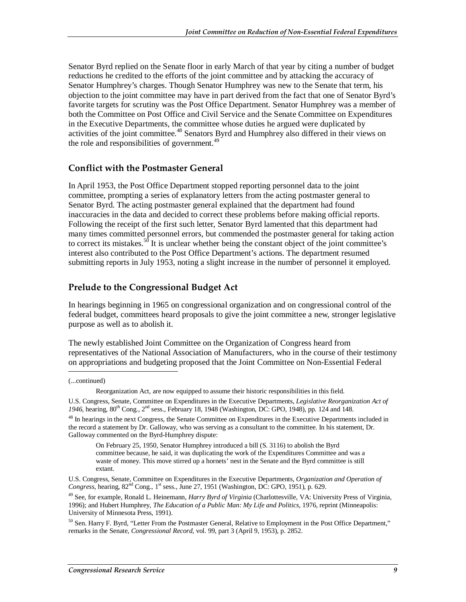Senator Byrd replied on the Senate floor in early March of that year by citing a number of budget reductions he credited to the efforts of the joint committee and by attacking the accuracy of Senator Humphrey's charges. Though Senator Humphrey was new to the Senate that term, his objection to the joint committee may have in part derived from the fact that one of Senator Byrd's favorite targets for scrutiny was the Post Office Department. Senator Humphrey was a member of both the Committee on Post Office and Civil Service and the Senate Committee on Expenditures in the Executive Departments, the committee whose duties he argued were duplicated by activities of the joint committee.<sup>48</sup> Senators Byrd and Humphrey also differed in their views on the role and responsibilities of government.<sup>49</sup>

#### **Conflict with the Postmaster General**

In April 1953, the Post Office Department stopped reporting personnel data to the joint committee, prompting a series of explanatory letters from the acting postmaster general to Senator Byrd. The acting postmaster general explained that the department had found inaccuracies in the data and decided to correct these problems before making official reports. Following the receipt of the first such letter, Senator Byrd lamented that this department had many times committed personnel errors, but commended the postmaster general for taking action to correct its mistakes.<sup>50</sup> It is unclear whether being the constant object of the joint committee's interest also contributed to the Post Office Department's actions. The department resumed submitting reports in July 1953, noting a slight increase in the number of personnel it employed.

#### **Prelude to the Congressional Budget Act**

In hearings beginning in 1965 on congressional organization and on congressional control of the federal budget, committees heard proposals to give the joint committee a new, stronger legislative purpose as well as to abolish it.

The newly established Joint Committee on the Organization of Congress heard from representatives of the National Association of Manufacturers, who in the course of their testimony on appropriations and budgeting proposed that the Joint Committee on Non-Essential Federal

(...continued)

Reorganization Act, are now equipped to assume their historic responsibilities in this field.

U.S. Congress, Senate, Committee on Expenditures in the Executive Departments, *Legislative Reorganization Act of*  1946, hearing, 80<sup>th</sup> Cong., 2<sup>nd</sup> sess., February 18, 1948 (Washington, DC: GPO, 1948), pp. 124 and 148.

<sup>&</sup>lt;sup>48</sup> In hearings in the next Congress, the Senate Committee on Expenditures in the Executive Departments included in the record a statement by Dr. Galloway, who was serving as a consultant to the committee. In his statement, Dr. Galloway commented on the Byrd-Humphrey dispute:

On February 25, 1950, Senator Humphrey introduced a bill (S. 3116) to abolish the Byrd committee because, he said, it was duplicating the work of the Expenditures Committee and was a waste of money. This move stirred up a hornets' nest in the Senate and the Byrd committee is still extant.

U.S. Congress, Senate, Committee on Expenditures in the Executive Departments, *Organization and Operation of Congress,* hearing,  $82^{nd}$  Cong.,  $1^{st}$  sess., June 27, 1951 (Washington, DC: GPO, 1951), p. 629.

<sup>49</sup> See, for example, Ronald L. Heinemann, *Harry Byrd of Virginia* (Charlottesville, VA: University Press of Virginia, 1996); and Hubert Humphrey, *The Education of a Public Man: My Life and Politics*, 1976, reprint (Minneapolis: University of Minnesota Press, 1991).

<sup>&</sup>lt;sup>50</sup> Sen. Harry F. Byrd, "Letter From the Postmaster General, Relative to Employment in the Post Office Department," remarks in the Senate, *Congressional Record*, vol. 99, part 3 (April 9, 1953), p. 2852.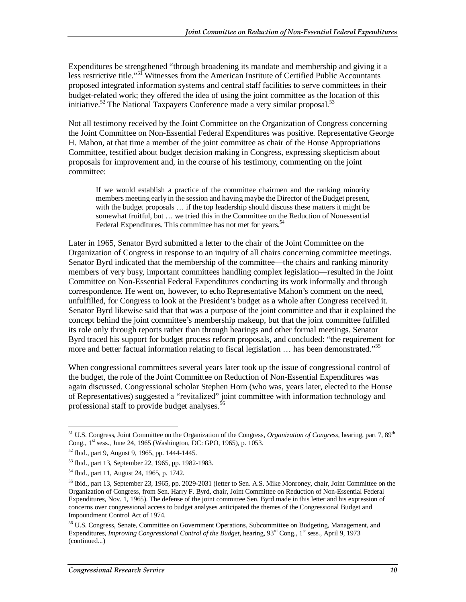Expenditures be strengthened "through broadening its mandate and membership and giving it a less restrictive title."<sup>51</sup> Witnesses from the American Institute of Certified Public Accountants proposed integrated information systems and central staff facilities to serve committees in their budget-related work; they offered the idea of using the joint committee as the location of this initiative.<sup>52</sup> The National Taxpayers Conference made a very similar proposal.<sup>53</sup>

Not all testimony received by the Joint Committee on the Organization of Congress concerning the Joint Committee on Non-Essential Federal Expenditures was positive. Representative George H. Mahon, at that time a member of the joint committee as chair of the House Appropriations Committee, testified about budget decision making in Congress, expressing skepticism about proposals for improvement and, in the course of his testimony, commenting on the joint committee:

If we would establish a practice of the committee chairmen and the ranking minority members meeting early in the session and having maybe the Director of the Budget present, with the budget proposals … if the top leadership should discuss these matters it might be somewhat fruitful, but … we tried this in the Committee on the Reduction of Nonessential Federal Expenditures. This committee has not met for years.<sup>54</sup>

Later in 1965, Senator Byrd submitted a letter to the chair of the Joint Committee on the Organization of Congress in response to an inquiry of all chairs concerning committee meetings. Senator Byrd indicated that the membership of the committee—the chairs and ranking minority members of very busy, important committees handling complex legislation—resulted in the Joint Committee on Non-Essential Federal Expenditures conducting its work informally and through correspondence. He went on, however, to echo Representative Mahon's comment on the need, unfulfilled, for Congress to look at the President's budget as a whole after Congress received it. Senator Byrd likewise said that that was a purpose of the joint committee and that it explained the concept behind the joint committee's membership makeup, but that the joint committee fulfilled its role only through reports rather than through hearings and other formal meetings. Senator Byrd traced his support for budget process reform proposals, and concluded: "the requirement for more and better factual information relating to fiscal legislation  $\ldots$  has been demonstrated."<sup>55</sup>

When congressional committees several years later took up the issue of congressional control of the budget, the role of the Joint Committee on Reduction of Non-Essential Expenditures was again discussed. Congressional scholar Stephen Horn (who was, years later, elected to the House of Representatives) suggested a "revitalized" joint committee with information technology and professional staff to provide budget analyses.<sup>56</sup>

<sup>&</sup>lt;u>.</u> <sup>51</sup> U.S. Congress, Joint Committee on the Organization of the Congress, *Organization of Congress*, hearing, part 7, 89<sup>th</sup> Cong., 1<sup>st</sup> sess., June 24, 1965 (Washington, DC: GPO, 1965), p. 1053.

<sup>52</sup> Ibid., part 9, August 9, 1965, pp. 1444-1445.

<sup>53</sup> Ibid., part 13, September 22, 1965, pp. 1982-1983.

<sup>54</sup> Ibid., part 11, August 24, 1965, p. 1742.

<sup>&</sup>lt;sup>55</sup> Ibid., part 13, September 23, 1965, pp. 2029-2031 (letter to Sen. A.S. Mike Monroney, chair, Joint Committee on the Organization of Congress, from Sen. Harry F. Byrd, chair, Joint Committee on Reduction of Non-Essential Federal Expenditures, Nov. 1, 1965). The defense of the joint committee Sen. Byrd made in this letter and his expression of concerns over congressional access to budget analyses anticipated the themes of the Congressional Budget and Impoundment Control Act of 1974.

<sup>&</sup>lt;sup>56</sup> U.S. Congress, Senate, Committee on Government Operations, Subcommittee on Budgeting, Management, and Expenditures, *Improving Congressional Control of the Budget*, hearing, 93<sup>rd</sup> Cong., 1<sup>st</sup> sess., April 9, 1973 (continued...)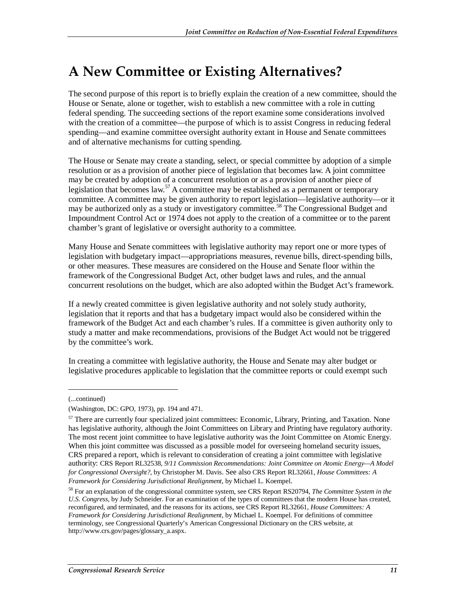# **A New Committee or Existing Alternatives?**

The second purpose of this report is to briefly explain the creation of a new committee, should the House or Senate, alone or together, wish to establish a new committee with a role in cutting federal spending. The succeeding sections of the report examine some considerations involved with the creation of a committee—the purpose of which is to assist Congress in reducing federal spending—and examine committee oversight authority extant in House and Senate committees and of alternative mechanisms for cutting spending.

The House or Senate may create a standing, select, or special committee by adoption of a simple resolution or as a provision of another piece of legislation that becomes law. A joint committee may be created by adoption of a concurrent resolution or as a provision of another piece of legislation that becomes law.<sup>57</sup> A committee may be established as a permanent or temporary committee. A committee may be given authority to report legislation—legislative authority—or it may be authorized only as a study or investigatory committee.58 The Congressional Budget and Impoundment Control Act or 1974 does not apply to the creation of a committee or to the parent chamber's grant of legislative or oversight authority to a committee.

Many House and Senate committees with legislative authority may report one or more types of legislation with budgetary impact—appropriations measures, revenue bills, direct-spending bills, or other measures. These measures are considered on the House and Senate floor within the framework of the Congressional Budget Act, other budget laws and rules, and the annual concurrent resolutions on the budget, which are also adopted within the Budget Act's framework.

If a newly created committee is given legislative authority and not solely study authority, legislation that it reports and that has a budgetary impact would also be considered within the framework of the Budget Act and each chamber's rules. If a committee is given authority only to study a matter and make recommendations, provisions of the Budget Act would not be triggered by the committee's work.

In creating a committee with legislative authority, the House and Senate may alter budget or legislative procedures applicable to legislation that the committee reports or could exempt such

<u>.</u>

<sup>(...</sup>continued)

<sup>(</sup>Washington, DC: GPO, 1973), pp. 194 and 471.

<sup>&</sup>lt;sup>57</sup> There are currently four specialized joint committees: Economic, Library, Printing, and Taxation. None has legislative authority, although the Joint Committees on Library and Printing have regulatory authority. The most recent joint committee to have legislative authority was the Joint Committee on Atomic Energy. When this joint committee was discussed as a possible model for overseeing homeland security issues, CRS prepared a report, which is relevant to consideration of creating a joint committee with legislative authority: CRS Report RL32538, *9/11 Commission Recommendations: Joint Committee on Atomic Energy—A Model for Congressional Oversight?*, by Christopher M. Davis. See also CRS Report RL32661, *House Committees: A Framework for Considering Jurisdictional Realignment*, by Michael L. Koempel.

<sup>58</sup> For an explanation of the congressional committee system, see CRS Report RS20794, *The Committee System in the U.S. Congress*, by Judy Schneider. For an examination of the types of committees that the modern House has created, reconfigured, and terminated, and the reasons for its actions, see CRS Report RL32661, *House Committees: A Framework for Considering Jurisdictional Realignment*, by Michael L. Koempel. For definitions of committee terminology, see Congressional Quarterly's American Congressional Dictionary on the CRS website, at http://www.crs.gov/pages/glossary\_a.aspx.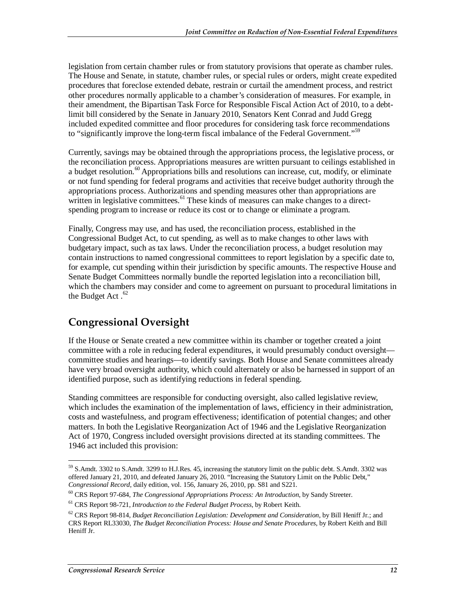legislation from certain chamber rules or from statutory provisions that operate as chamber rules. The House and Senate, in statute, chamber rules, or special rules or orders, might create expedited procedures that foreclose extended debate, restrain or curtail the amendment process, and restrict other procedures normally applicable to a chamber's consideration of measures. For example, in their amendment, the Bipartisan Task Force for Responsible Fiscal Action Act of 2010, to a debtlimit bill considered by the Senate in January 2010, Senators Kent Conrad and Judd Gregg included expedited committee and floor procedures for considering task force recommendations to "significantly improve the long-term fiscal imbalance of the Federal Government."<sup>59</sup>

Currently, savings may be obtained through the appropriations process, the legislative process, or the reconciliation process. Appropriations measures are written pursuant to ceilings established in a budget resolution.<sup>60</sup> Appropriations bills and resolutions can increase, cut, modify, or eliminate or not fund spending for federal programs and activities that receive budget authority through the appropriations process. Authorizations and spending measures other than appropriations are written in legislative committees.<sup>61</sup> These kinds of measures can make changes to a directspending program to increase or reduce its cost or to change or eliminate a program.

Finally, Congress may use, and has used, the reconciliation process, established in the Congressional Budget Act, to cut spending, as well as to make changes to other laws with budgetary impact, such as tax laws. Under the reconciliation process, a budget resolution may contain instructions to named congressional committees to report legislation by a specific date to, for example, cut spending within their jurisdiction by specific amounts. The respective House and Senate Budget Committees normally bundle the reported legislation into a reconciliation bill, which the chambers may consider and come to agreement on pursuant to procedural limitations in the Budget Act. $62$ 

### **Congressional Oversight**

If the House or Senate created a new committee within its chamber or together created a joint committee with a role in reducing federal expenditures, it would presumably conduct oversight committee studies and hearings—to identify savings. Both House and Senate committees already have very broad oversight authority, which could alternately or also be harnessed in support of an identified purpose, such as identifying reductions in federal spending.

Standing committees are responsible for conducting oversight, also called legislative review, which includes the examination of the implementation of laws, efficiency in their administration, costs and wastefulness, and program effectiveness; identification of potential changes; and other matters. In both the Legislative Reorganization Act of 1946 and the Legislative Reorganization Act of 1970, Congress included oversight provisions directed at its standing committees. The 1946 act included this provision:

<sup>-</sup> $59$  S.Amdt. 3302 to S.Amdt. 3299 to H.J.Res. 45, increasing the statutory limit on the public debt. S.Amdt. 3302 was offered January 21, 2010, and defeated January 26, 2010. "Increasing the Statutory Limit on the Public Debt,"<br>Congressional Record, daily edition, vol. 156, January 26, 2010, pp. S81 and S221.

<sup>&</sup>lt;sup>60</sup> CRS Report 97-684, The Congressional Appropriations Process: An Introduction, by Sandy Streeter.

<sup>61</sup> CRS Report 98-721, *Introduction to the Federal Budget Process*, by Robert Keith.

 $62$  CRS Report 98-814, *Budget Reconciliation Legislation: Development and Consideration*, by Bill Heniff Jr.; and CRS Report RL33030, *The Budget Reconciliation Process: House and Senate Procedures*, by Robert Keith and Bill Heniff Jr.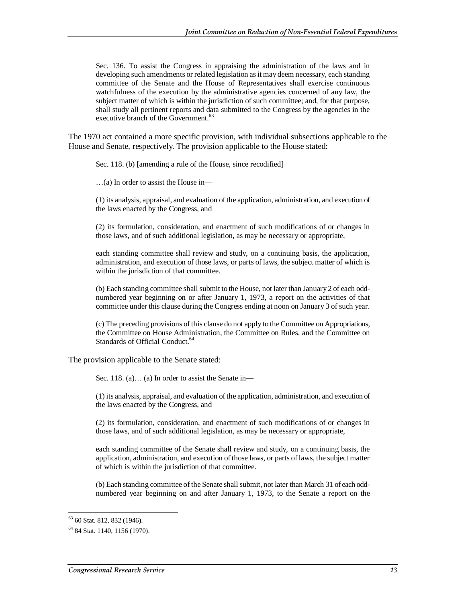Sec. 136. To assist the Congress in appraising the administration of the laws and in developing such amendments or related legislation as it may deem necessary, each standing committee of the Senate and the House of Representatives shall exercise continuous watchfulness of the execution by the administrative agencies concerned of any law, the subject matter of which is within the jurisdiction of such committee; and, for that purpose, shall study all pertinent reports and data submitted to the Congress by the agencies in the executive branch of the Government.<sup>63</sup>

The 1970 act contained a more specific provision, with individual subsections applicable to the House and Senate, respectively. The provision applicable to the House stated:

Sec. 118. (b) [amending a rule of the House, since recodified]

…(a) In order to assist the House in—

(1) its analysis, appraisal, and evaluation of the application, administration, and execution of the laws enacted by the Congress, and

(2) its formulation, consideration, and enactment of such modifications of or changes in those laws, and of such additional legislation, as may be necessary or appropriate,

each standing committee shall review and study, on a continuing basis, the application, administration, and execution of those laws, or parts of laws, the subject matter of which is within the jurisdiction of that committee.

(b) Each standing committee shall submit to the House, not later than January 2 of each oddnumbered year beginning on or after January 1, 1973, a report on the activities of that committee under this clause during the Congress ending at noon on January 3 of such year.

(c) The preceding provisions of this clause do not apply to the Committee on Appropriations, the Committee on House Administration, the Committee on Rules, and the Committee on Standards of Official Conduct.<sup>64</sup>

The provision applicable to the Senate stated:

Sec. 118. (a)… (a) In order to assist the Senate in—

(1) its analysis, appraisal, and evaluation of the application, administration, and execution of the laws enacted by the Congress, and

(2) its formulation, consideration, and enactment of such modifications of or changes in those laws, and of such additional legislation, as may be necessary or appropriate,

each standing committee of the Senate shall review and study, on a continuing basis, the application, administration, and execution of those laws, or parts of laws, the subject matter of which is within the jurisdiction of that committee.

(b) Each standing committee of the Senate shall submit, not later than March 31 of each oddnumbered year beginning on and after January 1, 1973, to the Senate a report on the

 $\overline{a}$  $63$  60 Stat. 812, 832 (1946).

<sup>64 84</sup> Stat. 1140, 1156 (1970).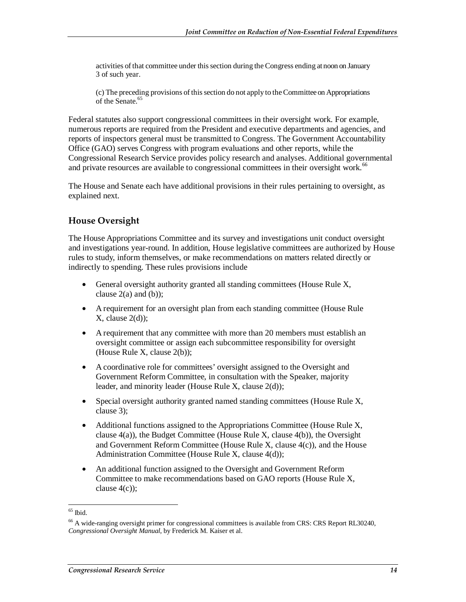activities of that committee under this section during the Congress ending at noon on January 3 of such year.

(c) The preceding provisions of this section do not apply to the Committee on Appropriations of the Senate.<sup>65</sup>

Federal statutes also support congressional committees in their oversight work. For example, numerous reports are required from the President and executive departments and agencies, and reports of inspectors general must be transmitted to Congress. The Government Accountability Office (GAO) serves Congress with program evaluations and other reports, while the Congressional Research Service provides policy research and analyses. Additional governmental and private resources are available to congressional committees in their oversight work.<sup>66</sup>

The House and Senate each have additional provisions in their rules pertaining to oversight, as explained next.

#### **House Oversight**

The House Appropriations Committee and its survey and investigations unit conduct oversight and investigations year-round. In addition, House legislative committees are authorized by House rules to study, inform themselves, or make recommendations on matters related directly or indirectly to spending. These rules provisions include

- General oversight authority granted all standing committees (House Rule X, clause  $2(a)$  and  $(b)$ );
- A requirement for an oversight plan from each standing committee (House Rule  $X$ , clause  $2(d)$ ;
- A requirement that any committee with more than 20 members must establish an oversight committee or assign each subcommittee responsibility for oversight (House Rule X, clause 2(b));
- A coordinative role for committees' oversight assigned to the Oversight and Government Reform Committee, in consultation with the Speaker, majority leader, and minority leader (House Rule X, clause 2(d));
- Special oversight authority granted named standing committees (House Rule X, clause 3);
- Additional functions assigned to the Appropriations Committee (House Rule X, clause 4(a)), the Budget Committee (House Rule X, clause 4(b)), the Oversight and Government Reform Committee (House Rule X, clause 4(c)), and the House Administration Committee (House Rule X, clause 4(d));
- An additional function assigned to the Oversight and Government Reform Committee to make recommendations based on GAO reports (House Rule X, clause 4(c));

<sup>-</sup> $65$  Ibid.

<sup>&</sup>lt;sup>66</sup> A wide-ranging oversight primer for congressional committees is available from CRS: CRS Report RL30240, *Congressional Oversight Manual*, by Frederick M. Kaiser et al.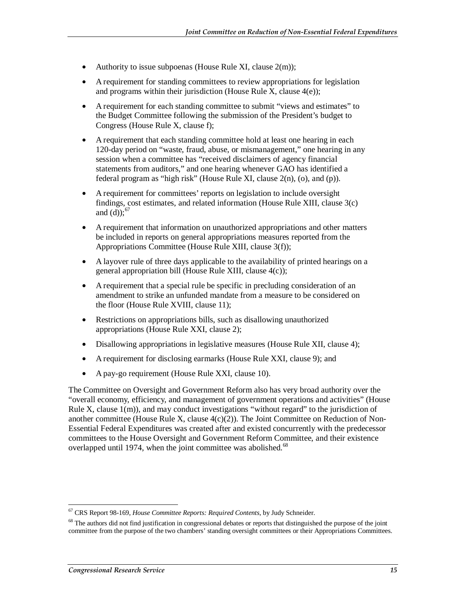- Authority to issue subpoenas (House Rule XI, clause  $2(m)$ );
- A requirement for standing committees to review appropriations for legislation and programs within their jurisdiction (House Rule X, clause 4(e));
- A requirement for each standing committee to submit "views and estimates" to the Budget Committee following the submission of the President's budget to Congress (House Rule X, clause f);
- A requirement that each standing committee hold at least one hearing in each 120-day period on "waste, fraud, abuse, or mismanagement," one hearing in any session when a committee has "received disclaimers of agency financial statements from auditors," and one hearing whenever GAO has identified a federal program as "high risk" (House Rule XI, clause 2(n), (o), and (p)).
- A requirement for committees' reports on legislation to include oversight findings, cost estimates, and related information (House Rule XIII, clause 3(c) and (d)); $^{67}$
- A requirement that information on unauthorized appropriations and other matters be included in reports on general appropriations measures reported from the Appropriations Committee (House Rule XIII, clause 3(f));
- A layover rule of three days applicable to the availability of printed hearings on a general appropriation bill (House Rule XIII, clause 4(c));
- A requirement that a special rule be specific in precluding consideration of an amendment to strike an unfunded mandate from a measure to be considered on the floor (House Rule XVIII, clause 11);
- Restrictions on appropriations bills, such as disallowing unauthorized appropriations (House Rule XXI, clause 2);
- Disallowing appropriations in legislative measures (House Rule XII, clause 4);
- A requirement for disclosing earmarks (House Rule XXI, clause 9); and
- A pay-go requirement (House Rule XXI, clause 10).

The Committee on Oversight and Government Reform also has very broad authority over the "overall economy, efficiency, and management of government operations and activities" (House Rule X, clause 1(m)), and may conduct investigations "without regard" to the jurisdiction of another committee (House Rule X, clause  $4(c)(2)$ ). The Joint Committee on Reduction of Non-Essential Federal Expenditures was created after and existed concurrently with the predecessor committees to the House Oversight and Government Reform Committee, and their existence overlapped until 1974, when the joint committee was abolished. $68$ 

<sup>-</sup>67 CRS Report 98-169, *House Committee Reports: Required Contents*, by Judy Schneider.

<sup>&</sup>lt;sup>68</sup> The authors did not find justification in congressional debates or reports that distinguished the purpose of the joint committee from the purpose of the two chambers' standing oversight committees or their Appropriations Committees.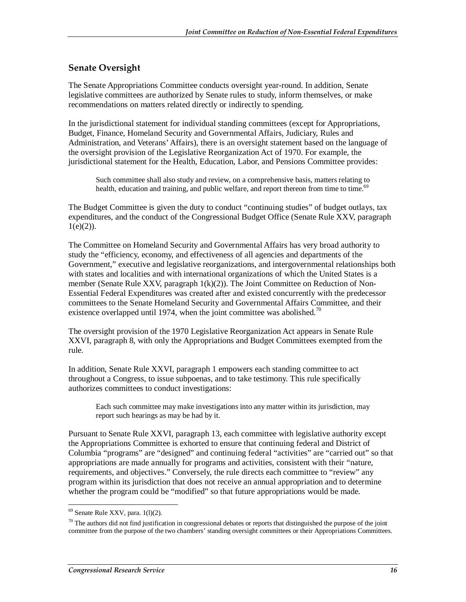#### **Senate Oversight**

The Senate Appropriations Committee conducts oversight year-round. In addition, Senate legislative committees are authorized by Senate rules to study, inform themselves, or make recommendations on matters related directly or indirectly to spending.

In the jurisdictional statement for individual standing committees (except for Appropriations, Budget, Finance, Homeland Security and Governmental Affairs, Judiciary, Rules and Administration, and Veterans' Affairs), there is an oversight statement based on the language of the oversight provision of the Legislative Reorganization Act of 1970. For example, the jurisdictional statement for the Health, Education, Labor, and Pensions Committee provides:

Such committee shall also study and review, on a comprehensive basis, matters relating to health, education and training, and public welfare, and report thereon from time to time.<sup>69</sup>

The Budget Committee is given the duty to conduct "continuing studies" of budget outlays, tax expenditures, and the conduct of the Congressional Budget Office (Senate Rule XXV, paragraph  $1(e)(2)$ ).

The Committee on Homeland Security and Governmental Affairs has very broad authority to study the "efficiency, economy, and effectiveness of all agencies and departments of the Government," executive and legislative reorganizations, and intergovernmental relationships both with states and localities and with international organizations of which the United States is a member (Senate Rule XXV, paragraph 1(k)(2)). The Joint Committee on Reduction of Non-Essential Federal Expenditures was created after and existed concurrently with the predecessor committees to the Senate Homeland Security and Governmental Affairs Committee, and their existence overlapped until 1974, when the joint committee was abolished.<sup>70</sup>

The oversight provision of the 1970 Legislative Reorganization Act appears in Senate Rule XXVI, paragraph 8, with only the Appropriations and Budget Committees exempted from the rule.

In addition, Senate Rule XXVI, paragraph 1 empowers each standing committee to act throughout a Congress, to issue subpoenas, and to take testimony. This rule specifically authorizes committees to conduct investigations:

Each such committee may make investigations into any matter within its jurisdiction, may report such hearings as may be had by it.

Pursuant to Senate Rule XXVI, paragraph 13, each committee with legislative authority except the Appropriations Committee is exhorted to ensure that continuing federal and District of Columbia "programs" are "designed" and continuing federal "activities" are "carried out" so that appropriations are made annually for programs and activities, consistent with their "nature, requirements, and objectives." Conversely, the rule directs each committee to "review" any program within its jurisdiction that does not receive an annual appropriation and to determine whether the program could be "modified" so that future appropriations would be made.

<sup>-</sup> $69$  Senate Rule XXV, para.  $1(1)(2)$ .

 $70$  The authors did not find justification in congressional debates or reports that distinguished the purpose of the joint committee from the purpose of the two chambers' standing oversight committees or their Appropriations Committees.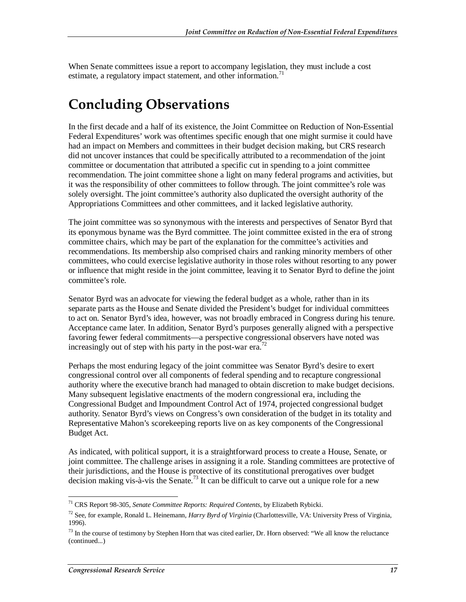When Senate committees issue a report to accompany legislation, they must include a cost estimate, a regulatory impact statement, and other information.<sup>71</sup>

# **Concluding Observations**

In the first decade and a half of its existence, the Joint Committee on Reduction of Non-Essential Federal Expenditures' work was oftentimes specific enough that one might surmise it could have had an impact on Members and committees in their budget decision making, but CRS research did not uncover instances that could be specifically attributed to a recommendation of the joint committee or documentation that attributed a specific cut in spending to a joint committee recommendation. The joint committee shone a light on many federal programs and activities, but it was the responsibility of other committees to follow through. The joint committee's role was solely oversight. The joint committee's authority also duplicated the oversight authority of the Appropriations Committees and other committees, and it lacked legislative authority.

The joint committee was so synonymous with the interests and perspectives of Senator Byrd that its eponymous byname was the Byrd committee. The joint committee existed in the era of strong committee chairs, which may be part of the explanation for the committee's activities and recommendations. Its membership also comprised chairs and ranking minority members of other committees, who could exercise legislative authority in those roles without resorting to any power or influence that might reside in the joint committee, leaving it to Senator Byrd to define the joint committee's role.

Senator Byrd was an advocate for viewing the federal budget as a whole, rather than in its separate parts as the House and Senate divided the President's budget for individual committees to act on. Senator Byrd's idea, however, was not broadly embraced in Congress during his tenure. Acceptance came later. In addition, Senator Byrd's purposes generally aligned with a perspective favoring fewer federal commitments—a perspective congressional observers have noted was increasingly out of step with his party in the post-war era.<sup>72</sup>

Perhaps the most enduring legacy of the joint committee was Senator Byrd's desire to exert congressional control over all components of federal spending and to recapture congressional authority where the executive branch had managed to obtain discretion to make budget decisions. Many subsequent legislative enactments of the modern congressional era, including the Congressional Budget and Impoundment Control Act of 1974, projected congressional budget authority. Senator Byrd's views on Congress's own consideration of the budget in its totality and Representative Mahon's scorekeeping reports live on as key components of the Congressional Budget Act.

As indicated, with political support, it is a straightforward process to create a House, Senate, or joint committee. The challenge arises in assigning it a role. Standing committees are protective of their jurisdictions, and the House is protective of its constitutional prerogatives over budget decision making vis-à-vis the Senate.<sup>73</sup> It can be difficult to carve out a unique role for a new

-

<sup>71</sup> CRS Report 98-305, *Senate Committee Reports: Required Contents*, by Elizabeth Rybicki.

<sup>72</sup> See, for example, Ronald L. Heinemann, *Harry Byrd of Virginia* (Charlottesville, VA: University Press of Virginia, 1996).

 $73$  In the course of testimony by Stephen Horn that was cited earlier, Dr. Horn observed: "We all know the reluctance (continued...)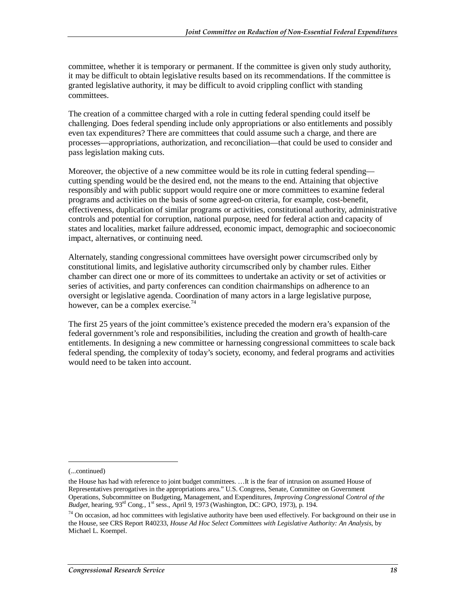committee, whether it is temporary or permanent. If the committee is given only study authority, it may be difficult to obtain legislative results based on its recommendations. If the committee is granted legislative authority, it may be difficult to avoid crippling conflict with standing committees.

The creation of a committee charged with a role in cutting federal spending could itself be challenging. Does federal spending include only appropriations or also entitlements and possibly even tax expenditures? There are committees that could assume such a charge, and there are processes—appropriations, authorization, and reconciliation—that could be used to consider and pass legislation making cuts.

Moreover, the objective of a new committee would be its role in cutting federal spending cutting spending would be the desired end, not the means to the end. Attaining that objective responsibly and with public support would require one or more committees to examine federal programs and activities on the basis of some agreed-on criteria, for example, cost-benefit, effectiveness, duplication of similar programs or activities, constitutional authority, administrative controls and potential for corruption, national purpose, need for federal action and capacity of states and localities, market failure addressed, economic impact, demographic and socioeconomic impact, alternatives, or continuing need.

Alternately, standing congressional committees have oversight power circumscribed only by constitutional limits, and legislative authority circumscribed only by chamber rules. Either chamber can direct one or more of its committees to undertake an activity or set of activities or series of activities, and party conferences can condition chairmanships on adherence to an oversight or legislative agenda. Coordination of many actors in a large legislative purpose, however, can be a complex exercise.<sup>74</sup>

The first 25 years of the joint committee's existence preceded the modern era's expansion of the federal government's role and responsibilities, including the creation and growth of health-care entitlements. In designing a new committee or harnessing congressional committees to scale back federal spending, the complexity of today's society, economy, and federal programs and activities would need to be taken into account.

1

<sup>(...</sup>continued)

the House has had with reference to joint budget committees. …It is the fear of intrusion on assumed House of Representatives prerogatives in the appropriations area." U.S. Congress, Senate, Committee on Government Operations, Subcommittee on Budgeting, Management, and Expenditures, *Improving Congressional Control of the Budget,* hearing, 93rd Cong., 1st sess., April 9, 1973 (Washington, DC: GPO, 1973), p. 194.

 $74$  On occasion, ad hoc committees with legislative authority have been used effectively. For background on their use in the House, see CRS Report R40233, *House Ad Hoc Select Committees with Legislative Authority: An Analysis*, by Michael L. Koempel.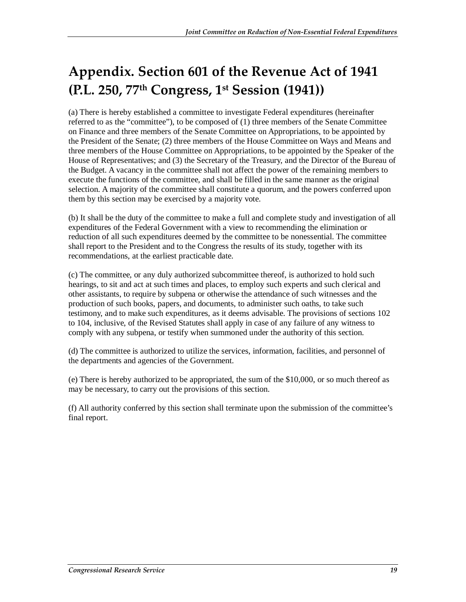# **Appendix. Section 601 of the Revenue Act of 1941 (P.L. 250, 77th Congress, 1st Session (1941))**

(a) There is hereby established a committee to investigate Federal expenditures (hereinafter referred to as the "committee"), to be composed of (1) three members of the Senate Committee on Finance and three members of the Senate Committee on Appropriations, to be appointed by the President of the Senate; (2) three members of the House Committee on Ways and Means and three members of the House Committee on Appropriations, to be appointed by the Speaker of the House of Representatives; and (3) the Secretary of the Treasury, and the Director of the Bureau of the Budget. A vacancy in the committee shall not affect the power of the remaining members to execute the functions of the committee, and shall be filled in the same manner as the original selection. A majority of the committee shall constitute a quorum, and the powers conferred upon them by this section may be exercised by a majority vote.

(b) It shall be the duty of the committee to make a full and complete study and investigation of all expenditures of the Federal Government with a view to recommending the elimination or reduction of all such expenditures deemed by the committee to be nonessential. The committee shall report to the President and to the Congress the results of its study, together with its recommendations, at the earliest practicable date.

(c) The committee, or any duly authorized subcommittee thereof, is authorized to hold such hearings, to sit and act at such times and places, to employ such experts and such clerical and other assistants, to require by subpena or otherwise the attendance of such witnesses and the production of such books, papers, and documents, to administer such oaths, to take such testimony, and to make such expenditures, as it deems advisable. The provisions of sections 102 to 104, inclusive, of the Revised Statutes shall apply in case of any failure of any witness to comply with any subpena, or testify when summoned under the authority of this section.

(d) The committee is authorized to utilize the services, information, facilities, and personnel of the departments and agencies of the Government.

(e) There is hereby authorized to be appropriated, the sum of the \$10,000, or so much thereof as may be necessary, to carry out the provisions of this section.

(f) All authority conferred by this section shall terminate upon the submission of the committee's final report.